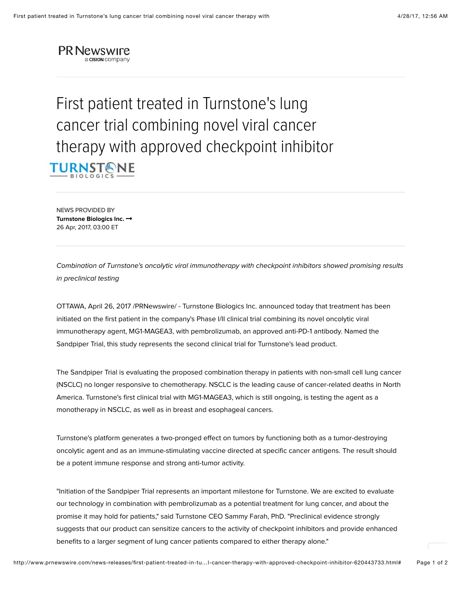

First patient treated in Turnstone's lung cancer trial combining novel viral cancer therapy with approved checkpoint inhibitor **TURNSTONE** 

NEWS PROVIDED BY **[Turnstone Biologics Inc.](http://www.prnewswire.com/news/turnstone-biologics-inc) ○** 26 Apr, 2017, 03:00 ET

*Combination of Turnstone's oncolytic viral immunotherapy with checkpoint inhibitors showed promising results in preclinical testing*

OTTAWA, April 26, 2017 /PRNewswire/ - Turnstone Biologics Inc. announced today that treatment has been initiated on the first patient in the company's Phase I/II clinical trial combining its novel oncolytic viral immunotherapy agent, MG1-MAGEA3, with pembrolizumab, an approved anti-PD-1 antibody. Named the Sandpiper Trial, this study represents the second clinical trial for Turnstone's lead product.

The Sandpiper Trial is evaluating the proposed combination therapy in patients with non-small cell lung cancer (NSCLC) no longer responsive to chemotherapy. NSCLC is the leading cause of cancer-related deaths in North America. Turnstone's first clinical trial with MG1-MAGEA3, which is still ongoing, is testing the agent as a monotherapy in NSCLC, as well as in breast and esophageal cancers.

Turnstone's platform generates a two-pronged effect on tumors by functioning both as a tumor-destroying oncolytic agent and as an immune-stimulating vaccine directed at specific cancer antigens. The result should be a potent immune response and strong anti-tumor activity.

"Initiation of the Sandpiper Trial represents an important milestone for Turnstone. We are excited to evaluate our technology in combination with pembrolizumab as a potential treatment for lung cancer, and about the promise it may hold for patients," said Turnstone CEO Sammy Farah, PhD. "Preclinical evidence strongly suggests that our product can sensitize cancers to the activity of checkpoint inhibitors and provide enhanced benefits to a larger segment of lung cancer patients compared to either therapy alone."